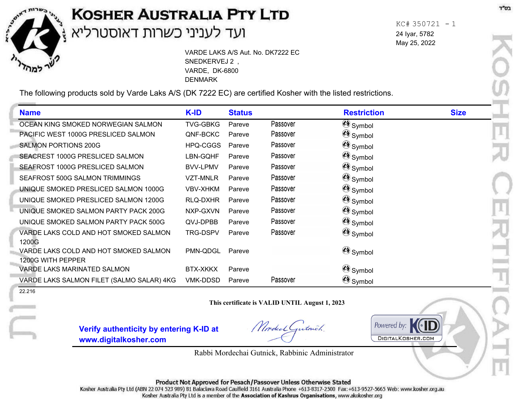

## **KOSHER AUSTRALIA PTY LTD** l,

VARDE LAKS A/S Aut. No. DK7222 EC SNEDKERVEJ 2 , VARDE, DK-6800 DENMARK

The following products sold by Varde Laks A/S (DK 7222 EC) are certified Kosher with the listed restrictions.

| <b>Name</b>                                                | K-ID            | <b>Status</b> |          | <b>Restriction</b> | <b>Size</b> |
|------------------------------------------------------------|-----------------|---------------|----------|--------------------|-------------|
| OCEAN KING SMOKED NORWEGIAN SALMON                         | <b>TVG-GBKG</b> | Pareve        | Passover | Symbol             |             |
| PACIFIC WEST 1000G PRESLICED SALMON                        | QNF-BCKC        | Pareve        | Passover | Symbol             |             |
| <b>SALMON PORTIONS 200G</b>                                | HPQ-CGGS        | Pareve        | Passover | Symbol             |             |
| SEACREST 1000G PRESLICED SALMON                            | LBN-GQHF        | Pareve        | Passover | Symbol             |             |
| SEAFROST 1000G PRESLICED SALMON                            | <b>BVV-LPMV</b> | Pareve        | Passover | Symbol             |             |
| SEAFROST 500G SALMON TRIMMINGS                             | <b>VZT-MNLR</b> | Pareve        | Passover | Symbol             |             |
| UNIQUE SMOKED PRESLICED SALMON 1000G                       | <b>VBV-XHKM</b> | Pareve        | Passover | Symbol             |             |
| UNIQUE SMOKED PRESLICED SALMON 1200G                       | RLQ-DXHR        | Pareve        | Passover | Symbol             |             |
| UNIQUE SMOKED SALMON PARTY PACK 200G                       | NXP-GXVN        | Pareve        | Passover | Symbol             |             |
| UNIQUE SMOKED SALMON PARTY PACK 500G                       | QVJ-DPBB        | Pareve        | Passover | Symbol             |             |
| VARDE LAKS COLD AND HOT SMOKED SALMON<br>1200G             | <b>TRG-DSPV</b> | Pareve        | Passover | Symbol             |             |
| VARDE LAKS COLD AND HOT SMOKED SALMON<br>1200G WITH PEPPER | PMN-QDGL        | Pareve        |          | Symbol             |             |
| VARDE LAKS MARINATED SALMON                                | <b>BTX-XKKX</b> | Pareve        |          | Symbol             |             |
| VARDE LAKS SALMON FILET (SALMO SALAR) 4KG                  | <b>VMK-DDSD</b> | Pareve        | Passover | Symbol             |             |

22.216

**This certificate is VALID UNTIL August 1, 2023**

**Verify authenticity by entering K-ID at www.digitalkosher.com**

Model Gutnich.

Powered by: **DIGITALKOSHER.COM** 

Rabbi Mordechai Gutnick, Rabbinic Administrator

Product Not Approved for Pesach/Passover Unless Otherwise Stated

Kosher Australia Pty Ltd (ABN 22 074 523 989) 81 Balaclava Road Caulfield 3161 Australia Phone +613-8317-2500 Fax:+613-9527-5665 Web: www.kosher.org.au Kosher Australia Pty Ltd is a member of the Association of Kashrus Organisations, www.akokosher.org

 $KC# 350721 - 1$ 24 Iyar, 5782 May 25, 2022